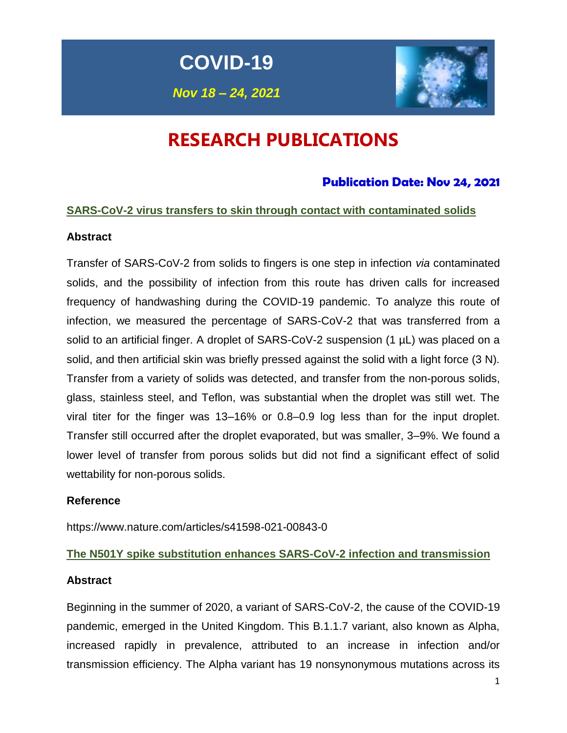**COVID-19**

*Nov 18 – 24, 2021*



# **RESEARCH PUBLICATIONS**

### **Publication Date: Nov 24, 2021**

### **SARS-CoV-2 virus transfers to skin through contact with contaminated solids**

### **Abstract**

Transfer of SARS-CoV-2 from solids to fingers is one step in infection *via* contaminated solids, and the possibility of infection from this route has driven calls for increased frequency of handwashing during the COVID-19 pandemic. To analyze this route of infection, we measured the percentage of SARS-CoV-2 that was transferred from a solid to an artificial finger. A droplet of SARS-CoV-2 suspension (1 µL) was placed on a solid, and then artificial skin was briefly pressed against the solid with a light force (3 N). Transfer from a variety of solids was detected, and transfer from the non-porous solids, glass, stainless steel, and Teflon, was substantial when the droplet was still wet. The viral titer for the finger was 13–16% or 0.8–0.9 log less than for the input droplet. Transfer still occurred after the droplet evaporated, but was smaller, 3–9%. We found a lower level of transfer from porous solids but did not find a significant effect of solid wettability for non-porous solids.

### **Reference**

https://www.nature.com/articles/s41598-021-00843-0

### **The N501Y spike substitution enhances SARS-CoV-2 infection and transmission**

### **Abstract**

Beginning in the summer of 2020, a variant of SARS-CoV-2, the cause of the COVID-19 pandemic, emerged in the United Kingdom. This B.1.1.7 variant, also known as Alpha, increased rapidly in prevalence, attributed to an increase in infection and/or transmission efficiency. The Alpha variant has 19 nonsynonymous mutations across its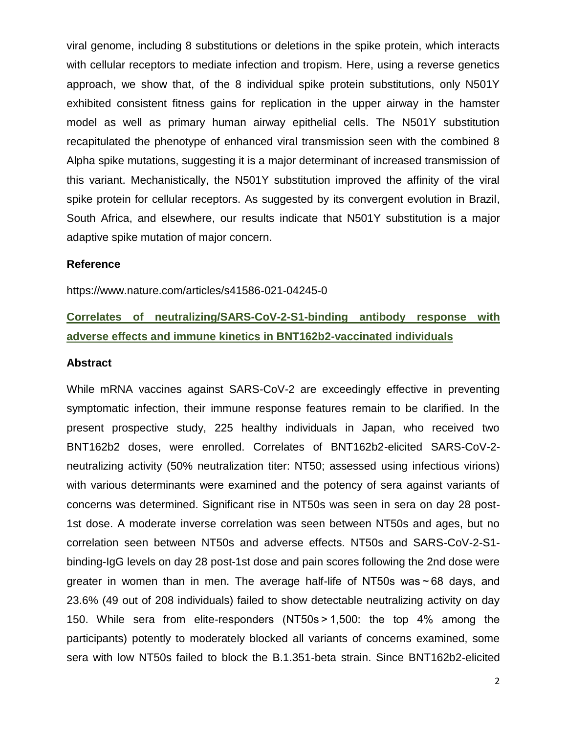viral genome, including 8 substitutions or deletions in the spike protein, which interacts with cellular receptors to mediate infection and tropism. Here, using a reverse genetics approach, we show that, of the 8 individual spike protein substitutions, only N501Y exhibited consistent fitness gains for replication in the upper airway in the hamster model as well as primary human airway epithelial cells. The N501Y substitution recapitulated the phenotype of enhanced viral transmission seen with the combined 8 Alpha spike mutations, suggesting it is a major determinant of increased transmission of this variant. Mechanistically, the N501Y substitution improved the affinity of the viral spike protein for cellular receptors. As suggested by its convergent evolution in Brazil, South Africa, and elsewhere, our results indicate that N501Y substitution is a major adaptive spike mutation of major concern.

#### **Reference**

https://www.nature.com/articles/s41586-021-04245-0

### **Correlates of neutralizing/SARS-CoV-2-S1-binding antibody response with adverse effects and immune kinetics in BNT162b2-vaccinated individuals**

#### **Abstract**

While mRNA vaccines against SARS-CoV-2 are exceedingly effective in preventing symptomatic infection, their immune response features remain to be clarified. In the present prospective study, 225 healthy individuals in Japan, who received two BNT162b2 doses, were enrolled. Correlates of BNT162b2-elicited SARS-CoV-2 neutralizing activity (50% neutralization titer: NT50; assessed using infectious virions) with various determinants were examined and the potency of sera against variants of concerns was determined. Significant rise in NT50s was seen in sera on day 28 post-1st dose. A moderate inverse correlation was seen between NT50s and ages, but no correlation seen between NT50s and adverse effects. NT50s and SARS-CoV-2-S1 binding-IgG levels on day 28 post-1st dose and pain scores following the 2nd dose were greater in women than in men. The average half-life of NT50s was ~ 68 days, and 23.6% (49 out of 208 individuals) failed to show detectable neutralizing activity on day 150. While sera from elite-responders (NT50s > 1,500: the top 4% among the participants) potently to moderately blocked all variants of concerns examined, some sera with low NT50s failed to block the B.1.351-beta strain. Since BNT162b2-elicited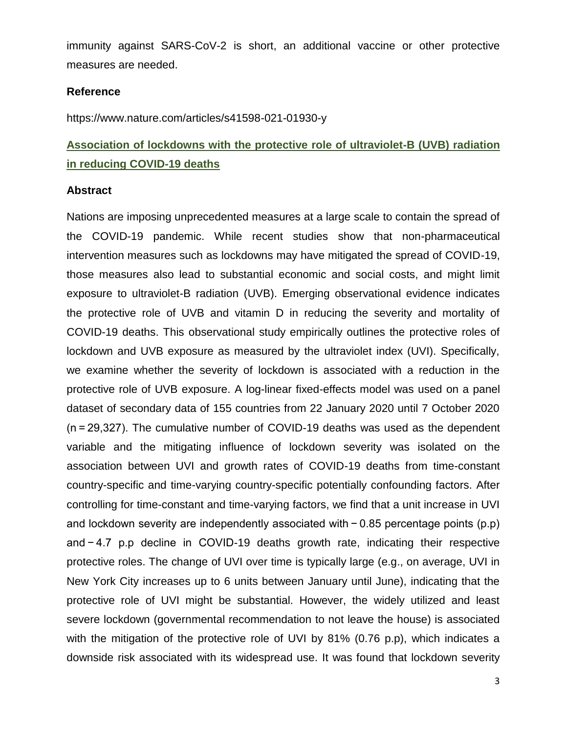immunity against SARS-CoV-2 is short, an additional vaccine or other protective measures are needed.

#### **Reference**

https://www.nature.com/articles/s41598-021-01930-y

# **Association of lockdowns with the protective role of ultraviolet-B (UVB) radiation in reducing COVID-19 deaths**

#### **Abstract**

Nations are imposing unprecedented measures at a large scale to contain the spread of the COVID-19 pandemic. While recent studies show that non-pharmaceutical intervention measures such as lockdowns may have mitigated the spread of COVID-19, those measures also lead to substantial economic and social costs, and might limit exposure to ultraviolet-B radiation (UVB). Emerging observational evidence indicates the protective role of UVB and vitamin D in reducing the severity and mortality of COVID-19 deaths. This observational study empirically outlines the protective roles of lockdown and UVB exposure as measured by the ultraviolet index (UVI). Specifically, we examine whether the severity of lockdown is associated with a reduction in the protective role of UVB exposure. A log-linear fixed-effects model was used on a panel dataset of secondary data of 155 countries from 22 January 2020 until 7 October 2020 (n = 29,327). The cumulative number of COVID-19 deaths was used as the dependent variable and the mitigating influence of lockdown severity was isolated on the association between UVI and growth rates of COVID-19 deaths from time-constant country-specific and time-varying country-specific potentially confounding factors. After controlling for time-constant and time-varying factors, we find that a unit increase in UVI and lockdown severity are independently associated with − 0.85 percentage points (p.p) and − 4.7 p.p decline in COVID-19 deaths growth rate, indicating their respective protective roles. The change of UVI over time is typically large (e.g., on average, UVI in New York City increases up to 6 units between January until June), indicating that the protective role of UVI might be substantial. However, the widely utilized and least severe lockdown (governmental recommendation to not leave the house) is associated with the mitigation of the protective role of UVI by 81% (0.76 p.p), which indicates a downside risk associated with its widespread use. It was found that lockdown severity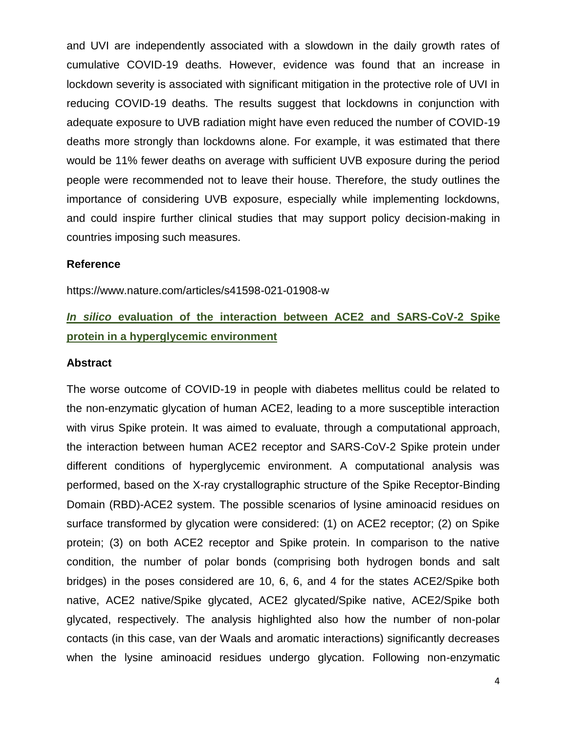and UVI are independently associated with a slowdown in the daily growth rates of cumulative COVID-19 deaths. However, evidence was found that an increase in lockdown severity is associated with significant mitigation in the protective role of UVI in reducing COVID-19 deaths. The results suggest that lockdowns in conjunction with adequate exposure to UVB radiation might have even reduced the number of COVID-19 deaths more strongly than lockdowns alone. For example, it was estimated that there would be 11% fewer deaths on average with sufficient UVB exposure during the period people were recommended not to leave their house. Therefore, the study outlines the importance of considering UVB exposure, especially while implementing lockdowns, and could inspire further clinical studies that may support policy decision-making in countries imposing such measures.

#### **Reference**

https://www.nature.com/articles/s41598-021-01908-w

# *In silico* **evaluation of the interaction between ACE2 and SARS-CoV-2 Spike protein in a hyperglycemic environment**

#### **Abstract**

The worse outcome of COVID-19 in people with diabetes mellitus could be related to the non-enzymatic glycation of human ACE2, leading to a more susceptible interaction with virus Spike protein. It was aimed to evaluate, through a computational approach, the interaction between human ACE2 receptor and SARS-CoV-2 Spike protein under different conditions of hyperglycemic environment. A computational analysis was performed, based on the X-ray crystallographic structure of the Spike Receptor-Binding Domain (RBD)-ACE2 system. The possible scenarios of lysine aminoacid residues on surface transformed by glycation were considered: (1) on ACE2 receptor; (2) on Spike protein; (3) on both ACE2 receptor and Spike protein. In comparison to the native condition, the number of polar bonds (comprising both hydrogen bonds and salt bridges) in the poses considered are 10, 6, 6, and 4 for the states ACE2/Spike both native, ACE2 native/Spike glycated, ACE2 glycated/Spike native, ACE2/Spike both glycated, respectively. The analysis highlighted also how the number of non-polar contacts (in this case, van der Waals and aromatic interactions) significantly decreases when the lysine aminoacid residues undergo glycation. Following non-enzymatic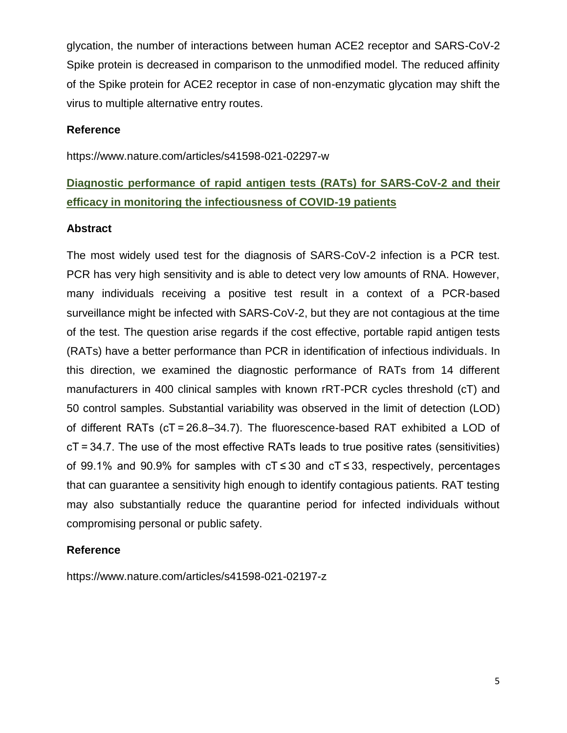glycation, the number of interactions between human ACE2 receptor and SARS-CoV-2 Spike protein is decreased in comparison to the unmodified model. The reduced affinity of the Spike protein for ACE2 receptor in case of non-enzymatic glycation may shift the virus to multiple alternative entry routes.

### **Reference**

https://www.nature.com/articles/s41598-021-02297-w

# **Diagnostic performance of rapid antigen tests (RATs) for SARS-CoV-2 and their efficacy in monitoring the infectiousness of COVID-19 patients**

### **Abstract**

The most widely used test for the diagnosis of SARS-CoV-2 infection is a PCR test. PCR has very high sensitivity and is able to detect very low amounts of RNA. However, many individuals receiving a positive test result in a context of a PCR-based surveillance might be infected with SARS-CoV-2, but they are not contagious at the time of the test. The question arise regards if the cost effective, portable rapid antigen tests (RATs) have a better performance than PCR in identification of infectious individuals. In this direction, we examined the diagnostic performance of RATs from 14 different manufacturers in 400 clinical samples with known rRT-PCR cycles threshold (cT) and 50 control samples. Substantial variability was observed in the limit of detection (LOD) of different RATs (cT = 26.8–34.7). The fluorescence-based RAT exhibited a LOD of cT = 34.7. The use of the most effective RATs leads to true positive rates (sensitivities) of 99.1% and 90.9% for samples with cT ≤ 30 and cT ≤ 33, respectively, percentages that can guarantee a sensitivity high enough to identify contagious patients. RAT testing may also substantially reduce the quarantine period for infected individuals without compromising personal or public safety.

### **Reference**

https://www.nature.com/articles/s41598-021-02197-z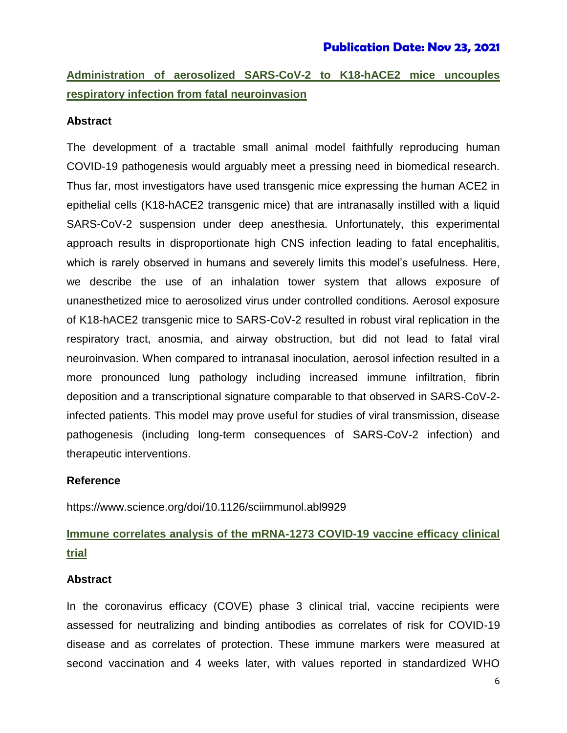# **Administration of aerosolized SARS-CoV-2 to K18-hACE2 mice uncouples respiratory infection from fatal neuroinvasion**

### **Abstract**

The development of a tractable small animal model faithfully reproducing human COVID-19 pathogenesis would arguably meet a pressing need in biomedical research. Thus far, most investigators have used transgenic mice expressing the human ACE2 in epithelial cells (K18-hACE2 transgenic mice) that are intranasally instilled with a liquid SARS-CoV-2 suspension under deep anesthesia. Unfortunately, this experimental approach results in disproportionate high CNS infection leading to fatal encephalitis, which is rarely observed in humans and severely limits this model's usefulness. Here, we describe the use of an inhalation tower system that allows exposure of unanesthetized mice to aerosolized virus under controlled conditions. Aerosol exposure of K18-hACE2 transgenic mice to SARS-CoV-2 resulted in robust viral replication in the respiratory tract, anosmia, and airway obstruction, but did not lead to fatal viral neuroinvasion. When compared to intranasal inoculation, aerosol infection resulted in a more pronounced lung pathology including increased immune infiltration, fibrin deposition and a transcriptional signature comparable to that observed in SARS-CoV-2 infected patients. This model may prove useful for studies of viral transmission, disease pathogenesis (including long-term consequences of SARS-CoV-2 infection) and therapeutic interventions.

### **Reference**

https://www.science.org/doi/10.1126/sciimmunol.abl9929

# **Immune correlates analysis of the mRNA-1273 COVID-19 vaccine efficacy clinical trial**

#### **Abstract**

In the coronavirus efficacy (COVE) phase 3 clinical trial, vaccine recipients were assessed for neutralizing and binding antibodies as correlates of risk for COVID-19 disease and as correlates of protection. These immune markers were measured at second vaccination and 4 weeks later, with values reported in standardized WHO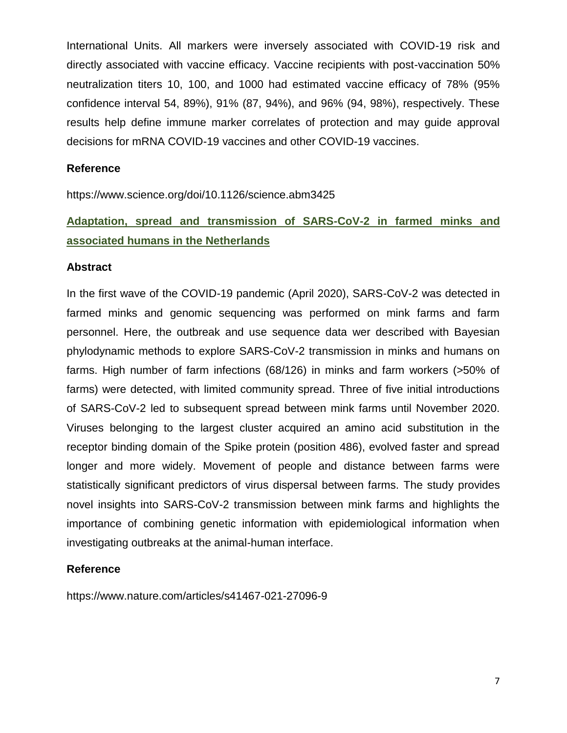International Units. All markers were inversely associated with COVID-19 risk and directly associated with vaccine efficacy. Vaccine recipients with post-vaccination 50% neutralization titers 10, 100, and 1000 had estimated vaccine efficacy of 78% (95% confidence interval 54, 89%), 91% (87, 94%), and 96% (94, 98%), respectively. These results help define immune marker correlates of protection and may guide approval decisions for mRNA COVID-19 vaccines and other COVID-19 vaccines.

#### **Reference**

https://www.science.org/doi/10.1126/science.abm3425

# **Adaptation, spread and transmission of SARS-CoV-2 in farmed minks and associated humans in the Netherlands**

#### **Abstract**

In the first wave of the COVID-19 pandemic (April 2020), SARS-CoV-2 was detected in farmed minks and genomic sequencing was performed on mink farms and farm personnel. Here, the outbreak and use sequence data wer described with Bayesian phylodynamic methods to explore SARS-CoV-2 transmission in minks and humans on farms. High number of farm infections (68/126) in minks and farm workers (>50% of farms) were detected, with limited community spread. Three of five initial introductions of SARS-CoV-2 led to subsequent spread between mink farms until November 2020. Viruses belonging to the largest cluster acquired an amino acid substitution in the receptor binding domain of the Spike protein (position 486), evolved faster and spread longer and more widely. Movement of people and distance between farms were statistically significant predictors of virus dispersal between farms. The study provides novel insights into SARS-CoV-2 transmission between mink farms and highlights the importance of combining genetic information with epidemiological information when investigating outbreaks at the animal-human interface.

### **Reference**

https://www.nature.com/articles/s41467-021-27096-9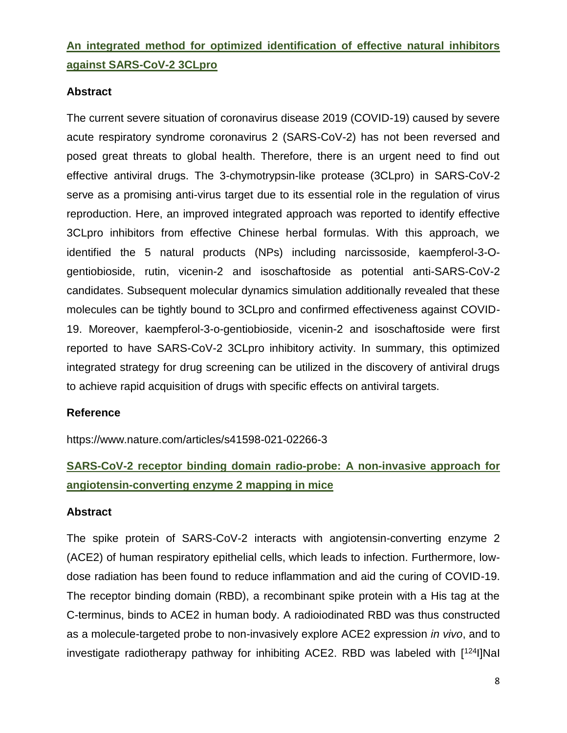# **An integrated method for optimized identification of effective natural inhibitors against SARS-CoV-2 3CLpro**

### **Abstract**

The current severe situation of coronavirus disease 2019 (COVID-19) caused by severe acute respiratory syndrome coronavirus 2 (SARS-CoV-2) has not been reversed and posed great threats to global health. Therefore, there is an urgent need to find out effective antiviral drugs. The 3-chymotrypsin-like protease (3CLpro) in SARS-CoV-2 serve as a promising anti-virus target due to its essential role in the regulation of virus reproduction. Here, an improved integrated approach was reported to identify effective 3CLpro inhibitors from effective Chinese herbal formulas. With this approach, we identified the 5 natural products (NPs) including narcissoside, kaempferol-3-Ogentiobioside, rutin, vicenin-2 and isoschaftoside as potential anti-SARS-CoV-2 candidates. Subsequent molecular dynamics simulation additionally revealed that these molecules can be tightly bound to 3CLpro and confirmed effectiveness against COVID-19. Moreover, kaempferol-3-o-gentiobioside, vicenin-2 and isoschaftoside were first reported to have SARS-CoV-2 3CLpro inhibitory activity. In summary, this optimized integrated strategy for drug screening can be utilized in the discovery of antiviral drugs to achieve rapid acquisition of drugs with specific effects on antiviral targets.

### **Reference**

https://www.nature.com/articles/s41598-021-02266-3

# **SARS-CoV-2 receptor binding domain radio-probe: A non-invasive approach for angiotensin-converting enzyme 2 mapping in mice**

### **Abstract**

The spike protein of SARS-CoV-2 interacts with angiotensin-converting enzyme 2 (ACE2) of human respiratory epithelial cells, which leads to infection. Furthermore, lowdose radiation has been found to reduce inflammation and aid the curing of COVID-19. The receptor binding domain (RBD), a recombinant spike protein with a His tag at the C-terminus, binds to ACE2 in human body. A radioiodinated RBD was thus constructed as a molecule-targeted probe to non-invasively explore ACE2 expression *in vivo*, and to investigate radiotherapy pathway for inhibiting ACE2. RBD was labeled with [124I]NaI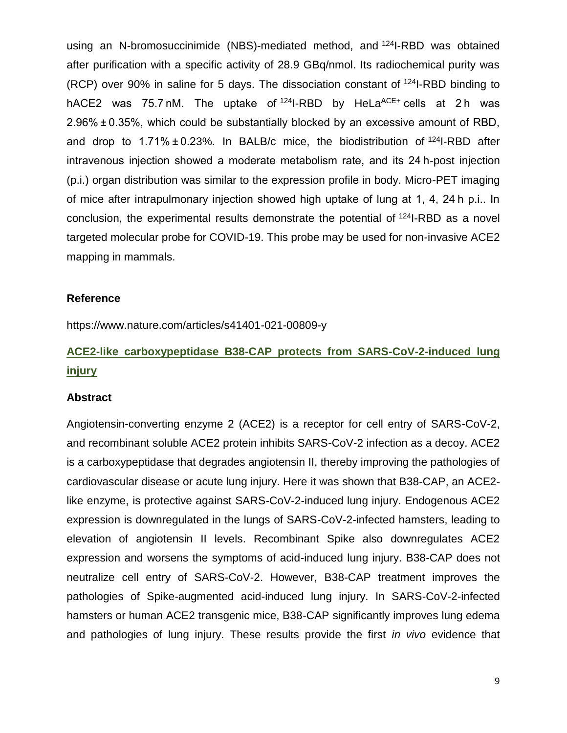using an N-bromosuccinimide (NBS)-mediated method, and <sup>124</sup>I-RBD was obtained after purification with a specific activity of 28.9 GBq/nmol. Its radiochemical purity was (RCP) over 90% in saline for 5 days. The dissociation constant of <sup>124</sup>I-RBD binding to hACE2 was 75.7 nM. The uptake of  $124$ -RBD by HeLa<sup>ACE+</sup> cells at 2h was 2.96% ± 0.35%, which could be substantially blocked by an excessive amount of RBD, and drop to  $1.71\% \pm 0.23\%$ . In BALB/c mice, the biodistribution of  $124$ -RBD after intravenous injection showed a moderate metabolism rate, and its 24 h-post injection (p.i.) organ distribution was similar to the expression profile in body. Micro-PET imaging of mice after intrapulmonary injection showed high uptake of lung at 1, 4, 24 h p.i.. In conclusion, the experimental results demonstrate the potential of <sup>124</sup>I-RBD as a novel targeted molecular probe for COVID-19. This probe may be used for non-invasive ACE2 mapping in mammals.

#### **Reference**

https://www.nature.com/articles/s41401-021-00809-y

# **ACE2-like carboxypeptidase B38-CAP protects from SARS-CoV-2-induced lung injury**

#### **Abstract**

Angiotensin-converting enzyme 2 (ACE2) is a receptor for cell entry of SARS-CoV-2, and recombinant soluble ACE2 protein inhibits SARS-CoV-2 infection as a decoy. ACE2 is a carboxypeptidase that degrades angiotensin II, thereby improving the pathologies of cardiovascular disease or acute lung injury. Here it was shown that B38-CAP, an ACE2 like enzyme, is protective against SARS-CoV-2-induced lung injury. Endogenous ACE2 expression is downregulated in the lungs of SARS-CoV-2-infected hamsters, leading to elevation of angiotensin II levels. Recombinant Spike also downregulates ACE2 expression and worsens the symptoms of acid-induced lung injury. B38-CAP does not neutralize cell entry of SARS-CoV-2. However, B38-CAP treatment improves the pathologies of Spike-augmented acid-induced lung injury. In SARS-CoV-2-infected hamsters or human ACE2 transgenic mice, B38-CAP significantly improves lung edema and pathologies of lung injury. These results provide the first *in vivo* evidence that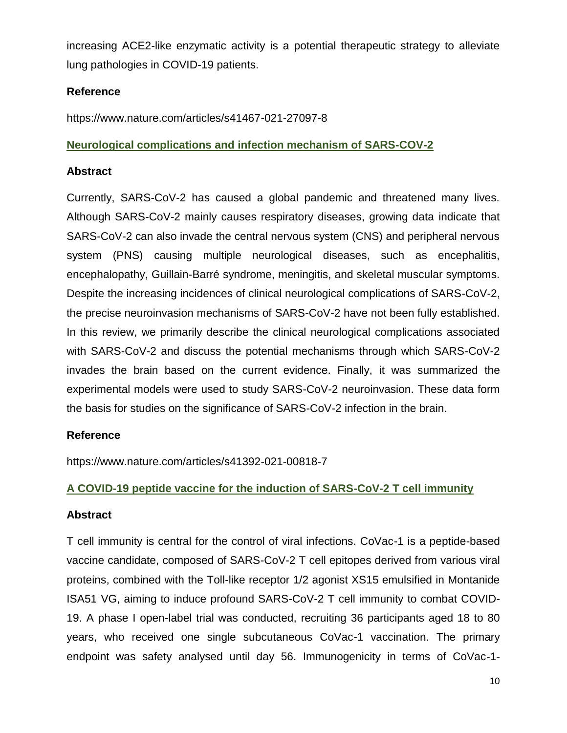increasing ACE2-like enzymatic activity is a potential therapeutic strategy to alleviate lung pathologies in COVID-19 patients.

### **Reference**

https://www.nature.com/articles/s41467-021-27097-8

### **Neurological complications and infection mechanism of SARS-COV-2**

### **Abstract**

Currently, SARS-CoV-2 has caused a global pandemic and threatened many lives. Although SARS-CoV-2 mainly causes respiratory diseases, growing data indicate that SARS-CoV-2 can also invade the central nervous system (CNS) and peripheral nervous system (PNS) causing multiple neurological diseases, such as encephalitis, encephalopathy, Guillain-Barré syndrome, meningitis, and skeletal muscular symptoms. Despite the increasing incidences of clinical neurological complications of SARS-CoV-2, the precise neuroinvasion mechanisms of SARS-CoV-2 have not been fully established. In this review, we primarily describe the clinical neurological complications associated with SARS-CoV-2 and discuss the potential mechanisms through which SARS-CoV-2 invades the brain based on the current evidence. Finally, it was summarized the experimental models were used to study SARS-CoV-2 neuroinvasion. These data form the basis for studies on the significance of SARS-CoV-2 infection in the brain.

### **Reference**

https://www.nature.com/articles/s41392-021-00818-7

### **A COVID-19 peptide vaccine for the induction of SARS-CoV-2 T cell immunity**

### **Abstract**

T cell immunity is central for the control of viral infections. CoVac-1 is a peptide-based vaccine candidate, composed of SARS-CoV-2 T cell epitopes derived from various viral proteins, combined with the Toll-like receptor 1/2 agonist XS15 emulsified in Montanide ISA51 VG, aiming to induce profound SARS-CoV-2 T cell immunity to combat COVID-19. A phase I open-label trial was conducted, recruiting 36 participants aged 18 to 80 years, who received one single subcutaneous CoVac-1 vaccination. The primary endpoint was safety analysed until day 56. Immunogenicity in terms of CoVac-1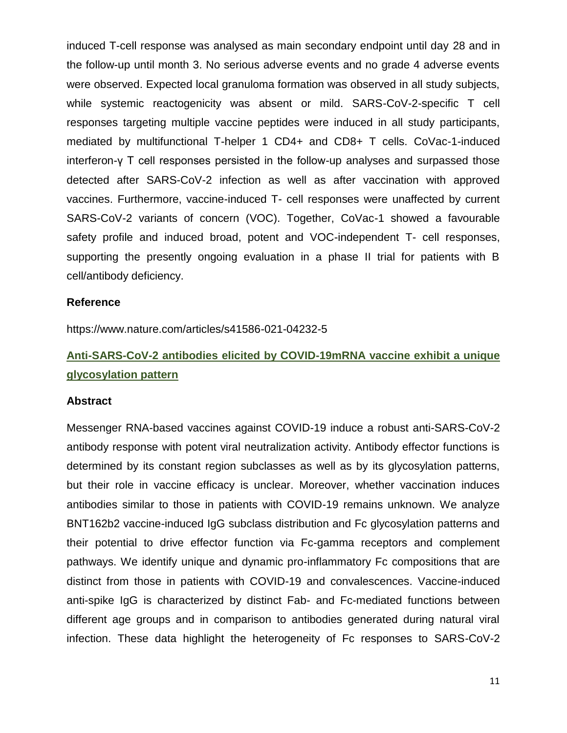induced T-cell response was analysed as main secondary endpoint until day 28 and in the follow-up until month 3. No serious adverse events and no grade 4 adverse events were observed. Expected local granuloma formation was observed in all study subjects, while systemic reactogenicity was absent or mild. SARS-CoV-2-specific T cell responses targeting multiple vaccine peptides were induced in all study participants, mediated by multifunctional T-helper 1 CD4+ and CD8+ T cells. CoVac-1-induced interferon-γ T cell responses persisted in the follow-up analyses and surpassed those detected after SARS-CoV-2 infection as well as after vaccination with approved vaccines. Furthermore, vaccine-induced T- cell responses were unaffected by current SARS-CoV-2 variants of concern (VOC). Together, CoVac-1 showed a favourable safety profile and induced broad, potent and VOC-independent T- cell responses, supporting the presently ongoing evaluation in a phase II trial for patients with B cell/antibody deficiency.

#### **Reference**

https://www.nature.com/articles/s41586-021-04232-5

# **Anti-SARS-CoV-2 antibodies elicited by COVID-19mRNA vaccine exhibit a unique glycosylation pattern**

#### **Abstract**

Messenger RNA-based vaccines against COVID-19 induce a robust anti-SARS-CoV-2 antibody response with potent viral neutralization activity. Antibody effector functions is determined by its constant region subclasses as well as by its glycosylation patterns, but their role in vaccine efficacy is unclear. Moreover, whether vaccination induces antibodies similar to those in patients with COVID-19 remains unknown. We analyze BNT162b2 vaccine-induced IgG subclass distribution and Fc glycosylation patterns and their potential to drive effector function via Fc-gamma receptors and complement pathways. We identify unique and dynamic pro-inflammatory Fc compositions that are distinct from those in patients with COVID-19 and convalescences. Vaccine-induced anti-spike IgG is characterized by distinct Fab- and Fc-mediated functions between different age groups and in comparison to antibodies generated during natural viral infection. These data highlight the heterogeneity of Fc responses to SARS-CoV-2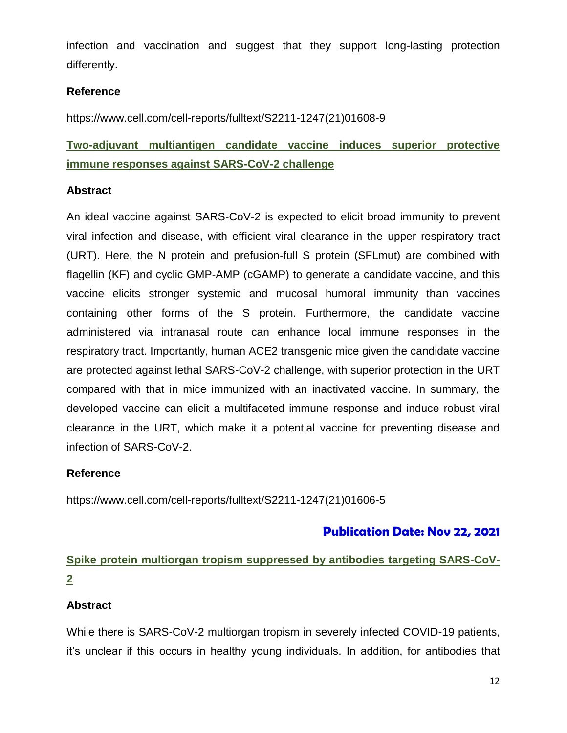infection and vaccination and suggest that they support long-lasting protection differently.

### **Reference**

https://www.cell.com/cell-reports/fulltext/S2211-1247(21)01608-9

# **Two-adjuvant multiantigen candidate vaccine induces superior protective immune responses against SARS-CoV-2 challenge**

### **Abstract**

An ideal vaccine against SARS-CoV-2 is expected to elicit broad immunity to prevent viral infection and disease, with efficient viral clearance in the upper respiratory tract (URT). Here, the N protein and prefusion-full S protein (SFLmut) are combined with flagellin (KF) and cyclic GMP-AMP (cGAMP) to generate a candidate vaccine, and this vaccine elicits stronger systemic and mucosal humoral immunity than vaccines containing other forms of the S protein. Furthermore, the candidate vaccine administered via intranasal route can enhance local immune responses in the respiratory tract. Importantly, human ACE2 transgenic mice given the candidate vaccine are protected against lethal SARS-CoV-2 challenge, with superior protection in the URT compared with that in mice immunized with an inactivated vaccine. In summary, the developed vaccine can elicit a multifaceted immune response and induce robust viral clearance in the URT, which make it a potential vaccine for preventing disease and infection of SARS-CoV-2.

### **Reference**

https://www.cell.com/cell-reports/fulltext/S2211-1247(21)01606-5

### **Publication Date: Nov 22, 2021**

# **Spike protein multiorgan tropism suppressed by antibodies targeting SARS-CoV-2**

### **Abstract**

While there is SARS-CoV-2 multiorgan tropism in severely infected COVID-19 patients, it's unclear if this occurs in healthy young individuals. In addition, for antibodies that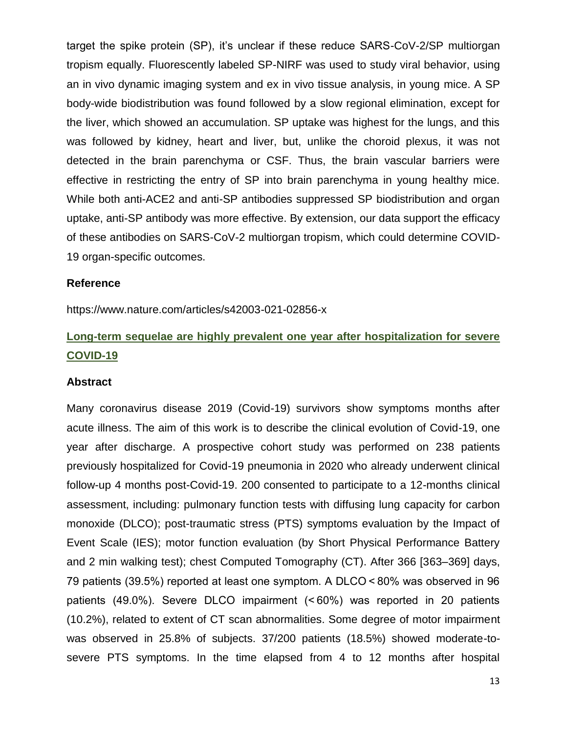target the spike protein (SP), it's unclear if these reduce SARS-CoV-2/SP multiorgan tropism equally. Fluorescently labeled SP-NIRF was used to study viral behavior, using an in vivo dynamic imaging system and ex in vivo tissue analysis, in young mice. A SP body-wide biodistribution was found followed by a slow regional elimination, except for the liver, which showed an accumulation. SP uptake was highest for the lungs, and this was followed by kidney, heart and liver, but, unlike the choroid plexus, it was not detected in the brain parenchyma or CSF. Thus, the brain vascular barriers were effective in restricting the entry of SP into brain parenchyma in young healthy mice. While both anti-ACE2 and anti-SP antibodies suppressed SP biodistribution and organ uptake, anti-SP antibody was more effective. By extension, our data support the efficacy of these antibodies on SARS-CoV-2 multiorgan tropism, which could determine COVID-19 organ-specific outcomes.

#### **Reference**

https://www.nature.com/articles/s42003-021-02856-x

# **Long-term sequelae are highly prevalent one year after hospitalization for severe COVID-19**

#### **Abstract**

Many coronavirus disease 2019 (Covid-19) survivors show symptoms months after acute illness. The aim of this work is to describe the clinical evolution of Covid-19, one year after discharge. A prospective cohort study was performed on 238 patients previously hospitalized for Covid-19 pneumonia in 2020 who already underwent clinical follow-up 4 months post-Covid-19. 200 consented to participate to a 12-months clinical assessment, including: pulmonary function tests with diffusing lung capacity for carbon monoxide (DLCO); post-traumatic stress (PTS) symptoms evaluation by the Impact of Event Scale (IES); motor function evaluation (by Short Physical Performance Battery and 2 min walking test); chest Computed Tomography (CT). After 366 [363–369] days, 79 patients (39.5%) reported at least one symptom. A DLCO < 80% was observed in 96 patients (49.0%). Severe DLCO impairment (< 60%) was reported in 20 patients (10.2%), related to extent of CT scan abnormalities. Some degree of motor impairment was observed in 25.8% of subjects. 37/200 patients (18.5%) showed moderate-tosevere PTS symptoms. In the time elapsed from 4 to 12 months after hospital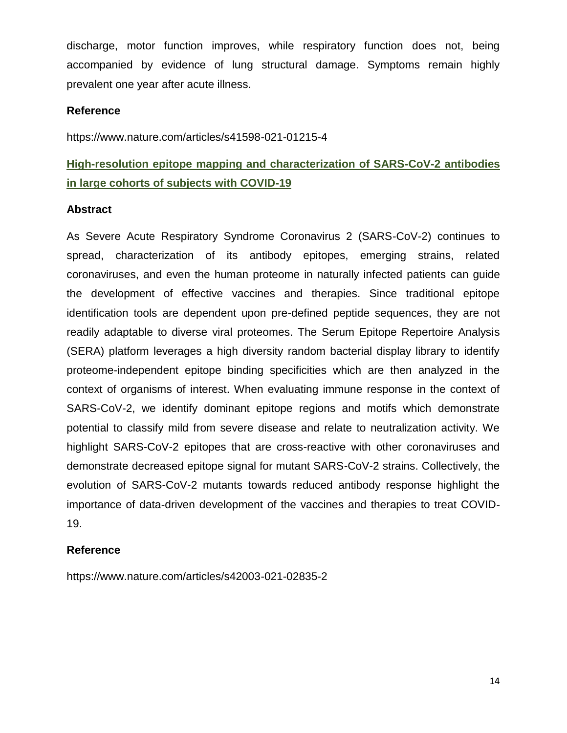discharge, motor function improves, while respiratory function does not, being accompanied by evidence of lung structural damage. Symptoms remain highly prevalent one year after acute illness.

### **Reference**

https://www.nature.com/articles/s41598-021-01215-4

# **High-resolution epitope mapping and characterization of SARS-CoV-2 antibodies in large cohorts of subjects with COVID-19**

#### **Abstract**

As Severe Acute Respiratory Syndrome Coronavirus 2 (SARS-CoV-2) continues to spread, characterization of its antibody epitopes, emerging strains, related coronaviruses, and even the human proteome in naturally infected patients can guide the development of effective vaccines and therapies. Since traditional epitope identification tools are dependent upon pre-defined peptide sequences, they are not readily adaptable to diverse viral proteomes. The Serum Epitope Repertoire Analysis (SERA) platform leverages a high diversity random bacterial display library to identify proteome-independent epitope binding specificities which are then analyzed in the context of organisms of interest. When evaluating immune response in the context of SARS-CoV-2, we identify dominant epitope regions and motifs which demonstrate potential to classify mild from severe disease and relate to neutralization activity. We highlight SARS-CoV-2 epitopes that are cross-reactive with other coronaviruses and demonstrate decreased epitope signal for mutant SARS-CoV-2 strains. Collectively, the evolution of SARS-CoV-2 mutants towards reduced antibody response highlight the importance of data-driven development of the vaccines and therapies to treat COVID-19.

### **Reference**

https://www.nature.com/articles/s42003-021-02835-2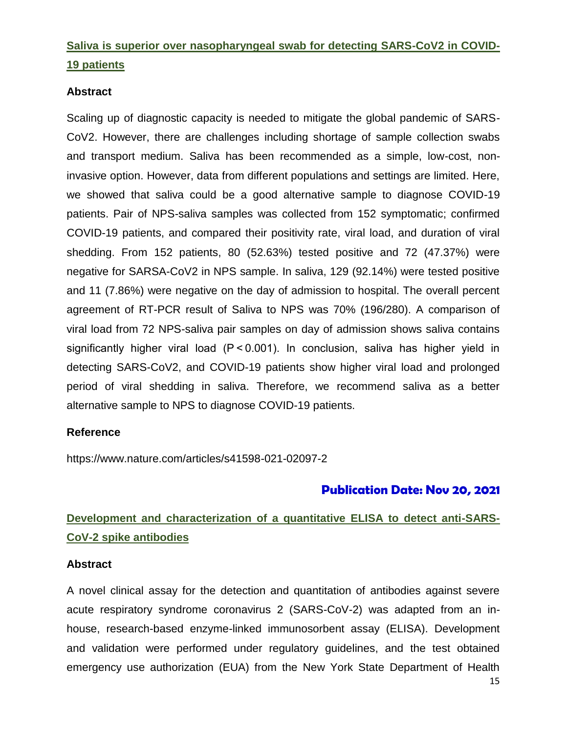# **Saliva is superior over nasopharyngeal swab for detecting SARS-CoV2 in COVID-19 patients**

### **Abstract**

Scaling up of diagnostic capacity is needed to mitigate the global pandemic of SARS-CoV2. However, there are challenges including shortage of sample collection swabs and transport medium. Saliva has been recommended as a simple, low-cost, noninvasive option. However, data from different populations and settings are limited. Here, we showed that saliva could be a good alternative sample to diagnose COVID-19 patients. Pair of NPS-saliva samples was collected from 152 symptomatic; confirmed COVID-19 patients, and compared their positivity rate, viral load, and duration of viral shedding. From 152 patients, 80 (52.63%) tested positive and 72 (47.37%) were negative for SARSA-CoV2 in NPS sample. In saliva, 129 (92.14%) were tested positive and 11 (7.86%) were negative on the day of admission to hospital. The overall percent agreement of RT-PCR result of Saliva to NPS was 70% (196/280). A comparison of viral load from 72 NPS-saliva pair samples on day of admission shows saliva contains significantly higher viral load (P < 0.001). In conclusion, saliva has higher yield in detecting SARS-CoV2, and COVID-19 patients show higher viral load and prolonged period of viral shedding in saliva. Therefore, we recommend saliva as a better alternative sample to NPS to diagnose COVID-19 patients.

### **Reference**

https://www.nature.com/articles/s41598-021-02097-2

### **Publication Date: Nov 20, 2021**

# **Development and characterization of a quantitative ELISA to detect anti-SARS-CoV-2 spike antibodies**

#### **Abstract**

A novel clinical assay for the detection and quantitation of antibodies against severe acute respiratory syndrome coronavirus 2 (SARS-CoV-2) was adapted from an inhouse, research-based enzyme-linked immunosorbent assay (ELISA). Development and validation were performed under regulatory guidelines, and the test obtained emergency use authorization (EUA) from the New York State Department of Health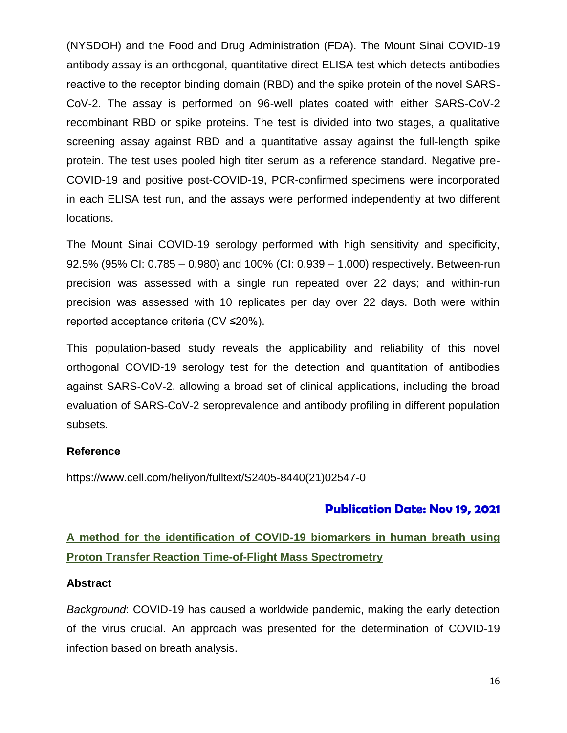(NYSDOH) and the Food and Drug Administration (FDA). The Mount Sinai COVID-19 antibody assay is an orthogonal, quantitative direct ELISA test which detects antibodies reactive to the receptor binding domain (RBD) and the spike protein of the novel SARS-CoV-2. The assay is performed on 96-well plates coated with either SARS-CoV-2 recombinant RBD or spike proteins. The test is divided into two stages, a qualitative screening assay against RBD and a quantitative assay against the full-length spike protein. The test uses pooled high titer serum as a reference standard. Negative pre-COVID-19 and positive post-COVID-19, PCR-confirmed specimens were incorporated in each ELISA test run, and the assays were performed independently at two different locations.

The Mount Sinai COVID-19 serology performed with high sensitivity and specificity, 92.5% (95% CI: 0.785 – 0.980) and 100% (CI: 0.939 – 1.000) respectively. Between-run precision was assessed with a single run repeated over 22 days; and within-run precision was assessed with 10 replicates per day over 22 days. Both were within reported acceptance criteria (CV ≤20%).

This population-based study reveals the applicability and reliability of this novel orthogonal COVID-19 serology test for the detection and quantitation of antibodies against SARS-CoV-2, allowing a broad set of clinical applications, including the broad evaluation of SARS-CoV-2 seroprevalence and antibody profiling in different population subsets.

### **Reference**

https://www.cell.com/heliyon/fulltext/S2405-8440(21)02547-0

### **Publication Date: Nov 19, 2021**

# **A method for the identification of COVID-19 biomarkers in human breath using Proton Transfer Reaction Time-of-Flight Mass Spectrometry**

### **Abstract**

*Background*: COVID-19 has caused a worldwide pandemic, making the early detection of the virus crucial. An approach was presented for the determination of COVID-19 infection based on breath analysis.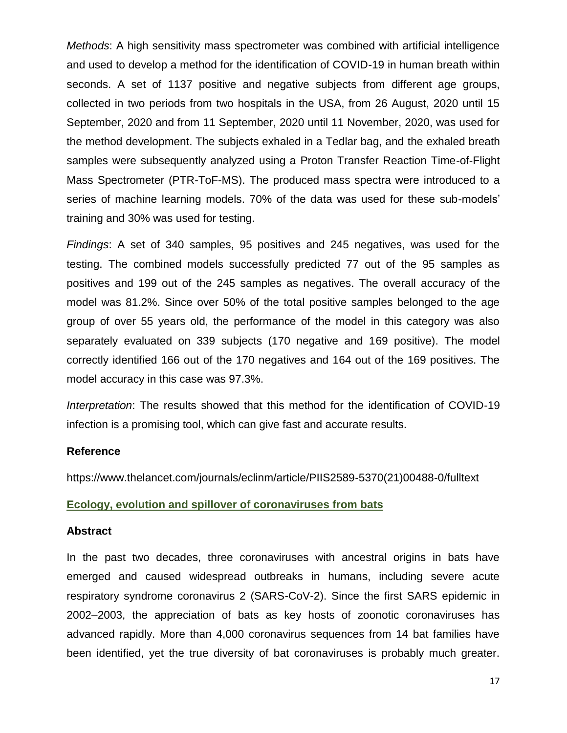*Methods*: A high sensitivity mass spectrometer was combined with artificial intelligence and used to develop a method for the identification of COVID-19 in human breath within seconds. A set of 1137 positive and negative subjects from different age groups, collected in two periods from two hospitals in the USA, from 26 August, 2020 until 15 September, 2020 and from 11 September, 2020 until 11 November, 2020, was used for the method development. The subjects exhaled in a Tedlar bag, and the exhaled breath samples were subsequently analyzed using a Proton Transfer Reaction Time-of-Flight Mass Spectrometer (PTR-ToF-MS). The produced mass spectra were introduced to a series of machine learning models. 70% of the data was used for these sub-models' training and 30% was used for testing.

*Findings*: A set of 340 samples, 95 positives and 245 negatives, was used for the testing. The combined models successfully predicted 77 out of the 95 samples as positives and 199 out of the 245 samples as negatives. The overall accuracy of the model was 81.2%. Since over 50% of the total positive samples belonged to the age group of over 55 years old, the performance of the model in this category was also separately evaluated on 339 subjects (170 negative and 169 positive). The model correctly identified 166 out of the 170 negatives and 164 out of the 169 positives. The model accuracy in this case was 97.3%.

*Interpretation*: The results showed that this method for the identification of COVID-19 infection is a promising tool, which can give fast and accurate results.

#### **Reference**

https://www.thelancet.com/journals/eclinm/article/PIIS2589-5370(21)00488-0/fulltext

#### **Ecology, evolution and spillover of coronaviruses from bats**

#### **Abstract**

In the past two decades, three coronaviruses with ancestral origins in bats have emerged and caused widespread outbreaks in humans, including severe acute respiratory syndrome coronavirus 2 (SARS-CoV-2). Since the first SARS epidemic in 2002–2003, the appreciation of bats as key hosts of zoonotic coronaviruses has advanced rapidly. More than 4,000 coronavirus sequences from 14 bat families have been identified, yet the true diversity of bat coronaviruses is probably much greater.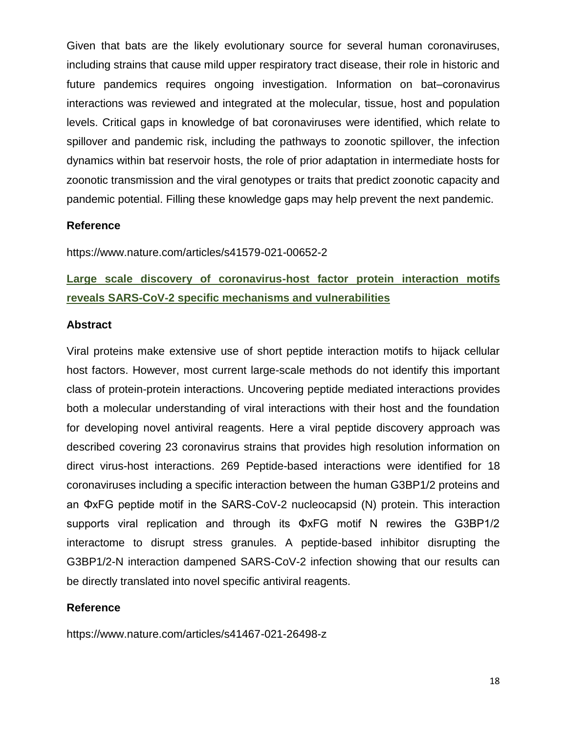Given that bats are the likely evolutionary source for several human coronaviruses, including strains that cause mild upper respiratory tract disease, their role in historic and future pandemics requires ongoing investigation. Information on bat–coronavirus interactions was reviewed and integrated at the molecular, tissue, host and population levels. Critical gaps in knowledge of bat coronaviruses were identified, which relate to spillover and pandemic risk, including the pathways to zoonotic spillover, the infection dynamics within bat reservoir hosts, the role of prior adaptation in intermediate hosts for zoonotic transmission and the viral genotypes or traits that predict zoonotic capacity and pandemic potential. Filling these knowledge gaps may help prevent the next pandemic.

#### **Reference**

https://www.nature.com/articles/s41579-021-00652-2

# **Large scale discovery of coronavirus-host factor protein interaction motifs reveals SARS-CoV-2 specific mechanisms and vulnerabilities**

#### **Abstract**

Viral proteins make extensive use of short peptide interaction motifs to hijack cellular host factors. However, most current large-scale methods do not identify this important class of protein-protein interactions. Uncovering peptide mediated interactions provides both a molecular understanding of viral interactions with their host and the foundation for developing novel antiviral reagents. Here a viral peptide discovery approach was described covering 23 coronavirus strains that provides high resolution information on direct virus-host interactions. 269 Peptide-based interactions were identified for 18 coronaviruses including a specific interaction between the human G3BP1/2 proteins and an ΦxFG peptide motif in the SARS-CoV-2 nucleocapsid (N) protein. This interaction supports viral replication and through its ΦxFG motif N rewires the G3BP1/2 interactome to disrupt stress granules. A peptide-based inhibitor disrupting the G3BP1/2-N interaction dampened SARS-CoV-2 infection showing that our results can be directly translated into novel specific antiviral reagents.

#### **Reference**

https://www.nature.com/articles/s41467-021-26498-z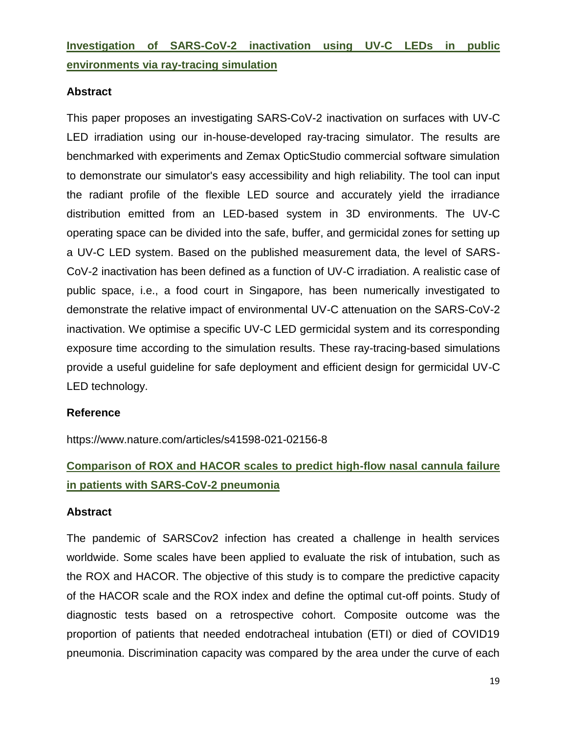**Investigation of SARS-CoV-2 inactivation using UV-C LEDs in public environments via ray-tracing simulation**

### **Abstract**

This paper proposes an investigating SARS-CoV-2 inactivation on surfaces with UV-C LED irradiation using our in-house-developed ray-tracing simulator. The results are benchmarked with experiments and Zemax OpticStudio commercial software simulation to demonstrate our simulator's easy accessibility and high reliability. The tool can input the radiant profile of the flexible LED source and accurately yield the irradiance distribution emitted from an LED-based system in 3D environments. The UV-C operating space can be divided into the safe, buffer, and germicidal zones for setting up a UV-C LED system. Based on the published measurement data, the level of SARS-CoV-2 inactivation has been defined as a function of UV-C irradiation. A realistic case of public space, i.e., a food court in Singapore, has been numerically investigated to demonstrate the relative impact of environmental UV-C attenuation on the SARS-CoV-2 inactivation. We optimise a specific UV-C LED germicidal system and its corresponding exposure time according to the simulation results. These ray-tracing-based simulations provide a useful guideline for safe deployment and efficient design for germicidal UV-C LED technology.

### **Reference**

https://www.nature.com/articles/s41598-021-02156-8

# **Comparison of ROX and HACOR scales to predict high-flow nasal cannula failure in patients with SARS-CoV-2 pneumonia**

### **Abstract**

The pandemic of SARSCov2 infection has created a challenge in health services worldwide. Some scales have been applied to evaluate the risk of intubation, such as the ROX and HACOR. The objective of this study is to compare the predictive capacity of the HACOR scale and the ROX index and define the optimal cut-off points. Study of diagnostic tests based on a retrospective cohort. Composite outcome was the proportion of patients that needed endotracheal intubation (ETI) or died of COVID19 pneumonia. Discrimination capacity was compared by the area under the curve of each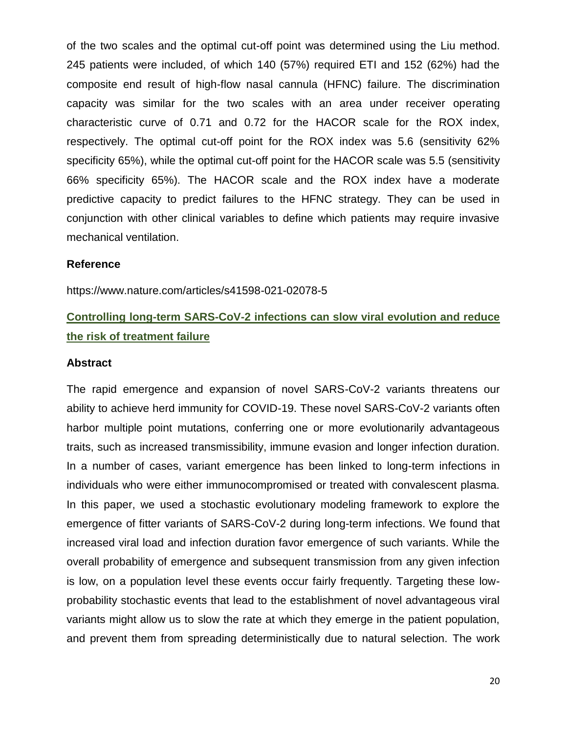of the two scales and the optimal cut-off point was determined using the Liu method. 245 patients were included, of which 140 (57%) required ETI and 152 (62%) had the composite end result of high-flow nasal cannula (HFNC) failure. The discrimination capacity was similar for the two scales with an area under receiver operating characteristic curve of 0.71 and 0.72 for the HACOR scale for the ROX index, respectively. The optimal cut-off point for the ROX index was 5.6 (sensitivity 62% specificity 65%), while the optimal cut-off point for the HACOR scale was 5.5 (sensitivity 66% specificity 65%). The HACOR scale and the ROX index have a moderate predictive capacity to predict failures to the HFNC strategy. They can be used in conjunction with other clinical variables to define which patients may require invasive mechanical ventilation.

#### **Reference**

https://www.nature.com/articles/s41598-021-02078-5

# **Controlling long-term SARS-CoV-2 infections can slow viral evolution and reduce the risk of treatment failure**

#### **Abstract**

The rapid emergence and expansion of novel SARS-CoV-2 variants threatens our ability to achieve herd immunity for COVID-19. These novel SARS-CoV-2 variants often harbor multiple point mutations, conferring one or more evolutionarily advantageous traits, such as increased transmissibility, immune evasion and longer infection duration. In a number of cases, variant emergence has been linked to long-term infections in individuals who were either immunocompromised or treated with convalescent plasma. In this paper, we used a stochastic evolutionary modeling framework to explore the emergence of fitter variants of SARS-CoV-2 during long-term infections. We found that increased viral load and infection duration favor emergence of such variants. While the overall probability of emergence and subsequent transmission from any given infection is low, on a population level these events occur fairly frequently. Targeting these lowprobability stochastic events that lead to the establishment of novel advantageous viral variants might allow us to slow the rate at which they emerge in the patient population, and prevent them from spreading deterministically due to natural selection. The work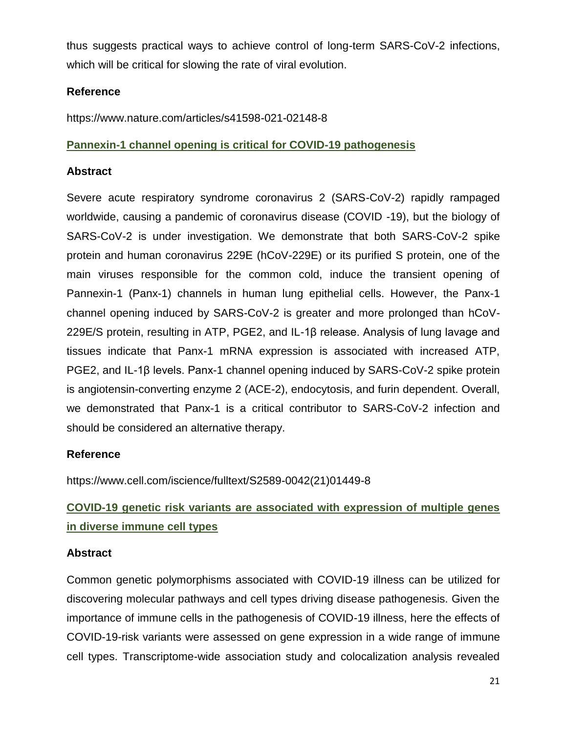thus suggests practical ways to achieve control of long-term SARS-CoV-2 infections, which will be critical for slowing the rate of viral evolution.

### **Reference**

https://www.nature.com/articles/s41598-021-02148-8

### **Pannexin-1 channel opening is critical for COVID-19 pathogenesis**

### **Abstract**

Severe acute respiratory syndrome coronavirus 2 (SARS-CoV-2) rapidly rampaged worldwide, causing a pandemic of coronavirus disease (COVID -19), but the biology of SARS-CoV-2 is under investigation. We demonstrate that both SARS-CoV-2 spike protein and human coronavirus 229E (hCoV-229E) or its purified S protein, one of the main viruses responsible for the common cold, induce the transient opening of Pannexin-1 (Panx-1) channels in human lung epithelial cells. However, the Panx-1 channel opening induced by SARS-CoV-2 is greater and more prolonged than hCoV-229E/S protein, resulting in ATP, PGE2, and IL-1β release. Analysis of lung lavage and tissues indicate that Panx-1 mRNA expression is associated with increased ATP, PGE2, and IL-1β levels. Panx-1 channel opening induced by SARS-CoV-2 spike protein is angiotensin-converting enzyme 2 (ACE-2), endocytosis, and furin dependent. Overall, we demonstrated that Panx-1 is a critical contributor to SARS-CoV-2 infection and should be considered an alternative therapy.

### **Reference**

https://www.cell.com/iscience/fulltext/S2589-0042(21)01449-8

# **COVID-19 genetic risk variants are associated with expression of multiple genes in diverse immune cell types**

### **Abstract**

Common genetic polymorphisms associated with COVID-19 illness can be utilized for discovering molecular pathways and cell types driving disease pathogenesis. Given the importance of immune cells in the pathogenesis of COVID-19 illness, here the effects of COVID-19-risk variants were assessed on gene expression in a wide range of immune cell types. Transcriptome-wide association study and colocalization analysis revealed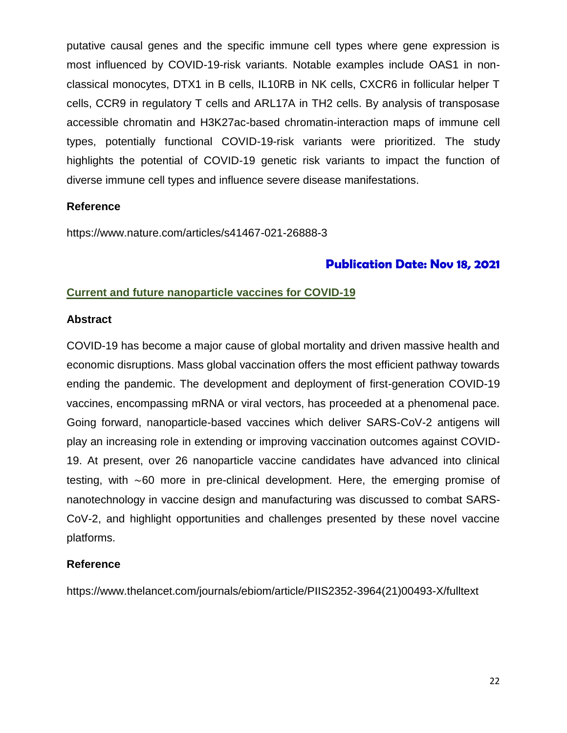putative causal genes and the specific immune cell types where gene expression is most influenced by COVID-19-risk variants. Notable examples include OAS1 in nonclassical monocytes, DTX1 in B cells, IL10RB in NK cells, CXCR6 in follicular helper T cells, CCR9 in regulatory T cells and ARL17A in TH2 cells. By analysis of transposase accessible chromatin and H3K27ac-based chromatin-interaction maps of immune cell types, potentially functional COVID-19-risk variants were prioritized. The study highlights the potential of COVID-19 genetic risk variants to impact the function of diverse immune cell types and influence severe disease manifestations.

### **Reference**

https://www.nature.com/articles/s41467-021-26888-3

### **Publication Date: Nov 18, 2021**

### **Current and future nanoparticle vaccines for COVID-19**

#### **Abstract**

COVID-19 has become a major cause of global mortality and driven massive health and economic disruptions. Mass global vaccination offers the most efficient pathway towards ending the pandemic. The development and deployment of first-generation COVID-19 vaccines, encompassing mRNA or viral vectors, has proceeded at a phenomenal pace. Going forward, nanoparticle-based vaccines which deliver SARS-CoV-2 antigens will play an increasing role in extending or improving vaccination outcomes against COVID-19. At present, over 26 nanoparticle vaccine candidates have advanced into clinical testing, with ∼60 more in pre-clinical development. Here, the emerging promise of nanotechnology in vaccine design and manufacturing was discussed to combat SARS-CoV-2, and highlight opportunities and challenges presented by these novel vaccine platforms.

### **Reference**

https://www.thelancet.com/journals/ebiom/article/PIIS2352-3964(21)00493-X/fulltext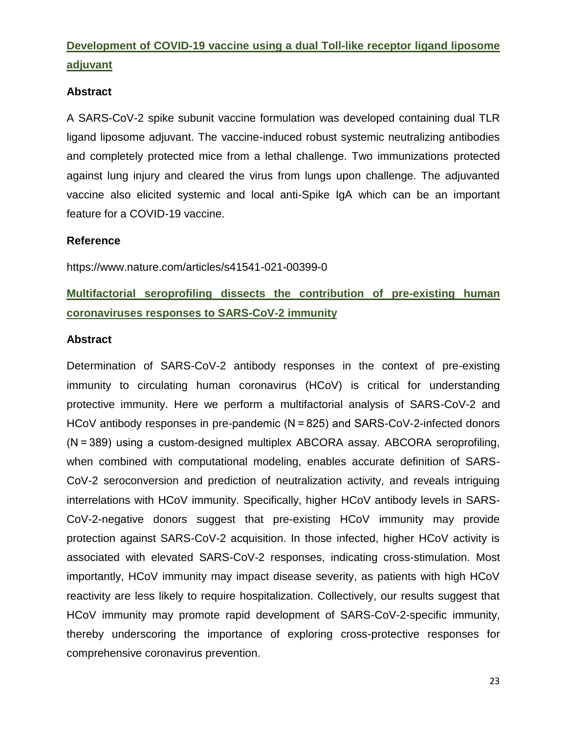# **Development of COVID-19 vaccine using a dual Toll-like receptor ligand liposome adjuvant**

### **Abstract**

A SARS-CoV-2 spike subunit vaccine formulation was developed containing dual TLR ligand liposome adjuvant. The vaccine-induced robust systemic neutralizing antibodies and completely protected mice from a lethal challenge. Two immunizations protected against lung injury and cleared the virus from lungs upon challenge. The adjuvanted vaccine also elicited systemic and local anti-Spike IgA which can be an important feature for a COVID-19 vaccine.

### **Reference**

https://www.nature.com/articles/s41541-021-00399-0

# **Multifactorial seroprofiling dissects the contribution of pre-existing human coronaviruses responses to SARS-CoV-2 immunity**

#### **Abstract**

Determination of SARS-CoV-2 antibody responses in the context of pre-existing immunity to circulating human coronavirus (HCoV) is critical for understanding protective immunity. Here we perform a multifactorial analysis of SARS-CoV-2 and HCoV antibody responses in pre-pandemic (N = 825) and SARS-CoV-2-infected donors (N = 389) using a custom-designed multiplex ABCORA assay. ABCORA seroprofiling, when combined with computational modeling, enables accurate definition of SARS-CoV-2 seroconversion and prediction of neutralization activity, and reveals intriguing interrelations with HCoV immunity. Specifically, higher HCoV antibody levels in SARS-CoV-2-negative donors suggest that pre-existing HCoV immunity may provide protection against SARS-CoV-2 acquisition. In those infected, higher HCoV activity is associated with elevated SARS-CoV-2 responses, indicating cross-stimulation. Most importantly, HCoV immunity may impact disease severity, as patients with high HCoV reactivity are less likely to require hospitalization. Collectively, our results suggest that HCoV immunity may promote rapid development of SARS-CoV-2-specific immunity, thereby underscoring the importance of exploring cross-protective responses for comprehensive coronavirus prevention.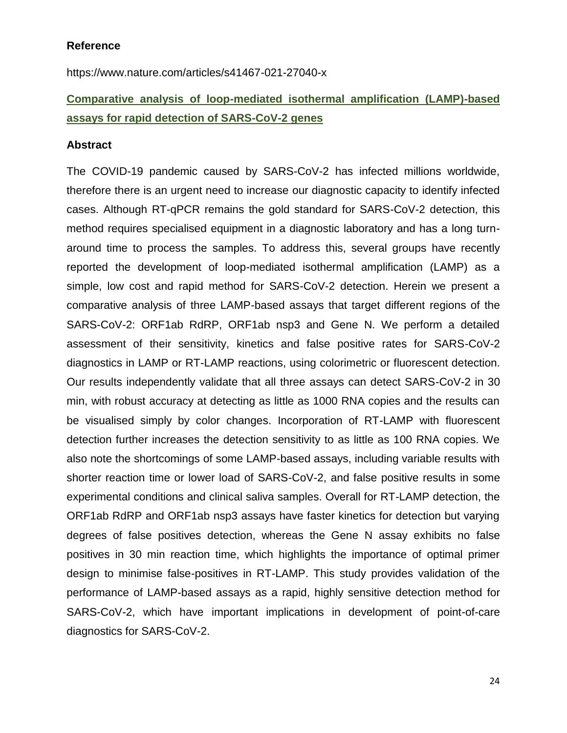#### **Reference**

https://www.nature.com/articles/s41467-021-27040-x

# **Comparative analysis of loop-mediated isothermal amplification (LAMP)-based assays for rapid detection of SARS-CoV-2 genes**

#### **Abstract**

The COVID-19 pandemic caused by SARS-CoV-2 has infected millions worldwide, therefore there is an urgent need to increase our diagnostic capacity to identify infected cases. Although RT-qPCR remains the gold standard for SARS-CoV-2 detection, this method requires specialised equipment in a diagnostic laboratory and has a long turnaround time to process the samples. To address this, several groups have recently reported the development of loop-mediated isothermal amplification (LAMP) as a simple, low cost and rapid method for SARS-CoV-2 detection. Herein we present a comparative analysis of three LAMP-based assays that target different regions of the SARS-CoV-2: ORF1ab RdRP, ORF1ab nsp3 and Gene N. We perform a detailed assessment of their sensitivity, kinetics and false positive rates for SARS-CoV-2 diagnostics in LAMP or RT-LAMP reactions, using colorimetric or fluorescent detection. Our results independently validate that all three assays can detect SARS-CoV-2 in 30 min, with robust accuracy at detecting as little as 1000 RNA copies and the results can be visualised simply by color changes. Incorporation of RT-LAMP with fluorescent detection further increases the detection sensitivity to as little as 100 RNA copies. We also note the shortcomings of some LAMP-based assays, including variable results with shorter reaction time or lower load of SARS-CoV-2, and false positive results in some experimental conditions and clinical saliva samples. Overall for RT-LAMP detection, the ORF1ab RdRP and ORF1ab nsp3 assays have faster kinetics for detection but varying degrees of false positives detection, whereas the Gene N assay exhibits no false positives in 30 min reaction time, which highlights the importance of optimal primer design to minimise false-positives in RT-LAMP. This study provides validation of the performance of LAMP-based assays as a rapid, highly sensitive detection method for SARS-CoV-2, which have important implications in development of point-of-care diagnostics for SARS-CoV-2.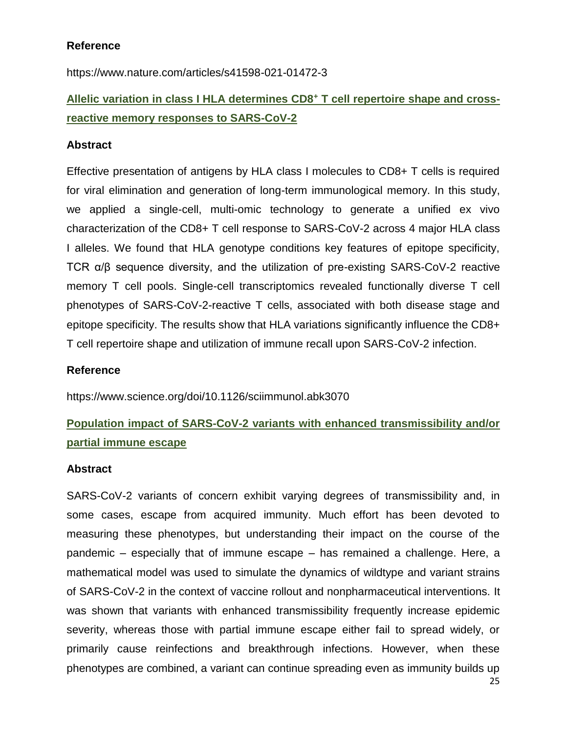### **Reference**

https://www.nature.com/articles/s41598-021-01472-3

# **Allelic variation in class I HLA determines CD8<sup>+</sup> T cell repertoire shape and crossreactive memory responses to SARS-CoV-2**

### **Abstract**

Effective presentation of antigens by HLA class I molecules to CD8+ T cells is required for viral elimination and generation of long-term immunological memory. In this study, we applied a single-cell, multi-omic technology to generate a unified ex vivo characterization of the CD8+ T cell response to SARS-CoV-2 across 4 major HLA class I alleles. We found that HLA genotype conditions key features of epitope specificity, TCR α/β sequence diversity, and the utilization of pre-existing SARS-CoV-2 reactive memory T cell pools. Single-cell transcriptomics revealed functionally diverse T cell phenotypes of SARS-CoV-2-reactive T cells, associated with both disease stage and epitope specificity. The results show that HLA variations significantly influence the CD8+ T cell repertoire shape and utilization of immune recall upon SARS-CoV-2 infection.

### **Reference**

https://www.science.org/doi/10.1126/sciimmunol.abk3070

# **Population impact of SARS-CoV-2 variants with enhanced transmissibility and/or partial immune escape**

### **Abstract**

SARS-CoV-2 variants of concern exhibit varying degrees of transmissibility and, in some cases, escape from acquired immunity. Much effort has been devoted to measuring these phenotypes, but understanding their impact on the course of the pandemic – especially that of immune escape – has remained a challenge. Here, a mathematical model was used to simulate the dynamics of wildtype and variant strains of SARS-CoV-2 in the context of vaccine rollout and nonpharmaceutical interventions. It was shown that variants with enhanced transmissibility frequently increase epidemic severity, whereas those with partial immune escape either fail to spread widely, or primarily cause reinfections and breakthrough infections. However, when these phenotypes are combined, a variant can continue spreading even as immunity builds up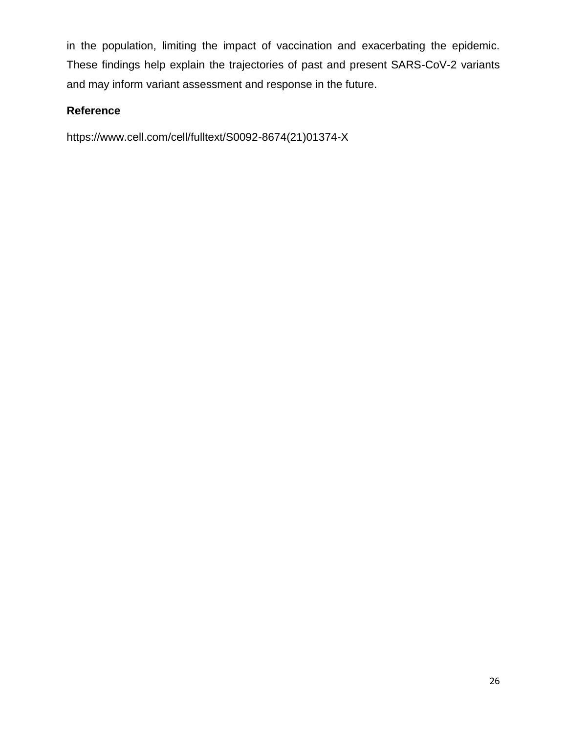in the population, limiting the impact of vaccination and exacerbating the epidemic. These findings help explain the trajectories of past and present SARS-CoV-2 variants and may inform variant assessment and response in the future.

### **Reference**

https://www.cell.com/cell/fulltext/S0092-8674(21)01374-X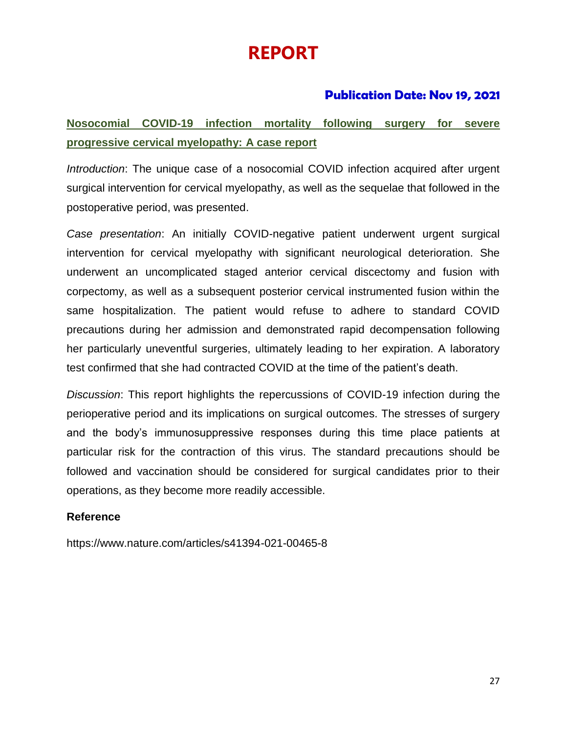# **REPORT**

### **Publication Date: Nov 19, 2021**

# **Nosocomial COVID-19 infection mortality following surgery for severe progressive cervical myelopathy: A case report**

*Introduction*: The unique case of a nosocomial COVID infection acquired after urgent surgical intervention for cervical myelopathy, as well as the sequelae that followed in the postoperative period, was presented.

*Case presentation*: An initially COVID-negative patient underwent urgent surgical intervention for cervical myelopathy with significant neurological deterioration. She underwent an uncomplicated staged anterior cervical discectomy and fusion with corpectomy, as well as a subsequent posterior cervical instrumented fusion within the same hospitalization. The patient would refuse to adhere to standard COVID precautions during her admission and demonstrated rapid decompensation following her particularly uneventful surgeries, ultimately leading to her expiration. A laboratory test confirmed that she had contracted COVID at the time of the patient's death.

*Discussion*: This report highlights the repercussions of COVID-19 infection during the perioperative period and its implications on surgical outcomes. The stresses of surgery and the body's immunosuppressive responses during this time place patients at particular risk for the contraction of this virus. The standard precautions should be followed and vaccination should be considered for surgical candidates prior to their operations, as they become more readily accessible.

### **Reference**

https://www.nature.com/articles/s41394-021-00465-8